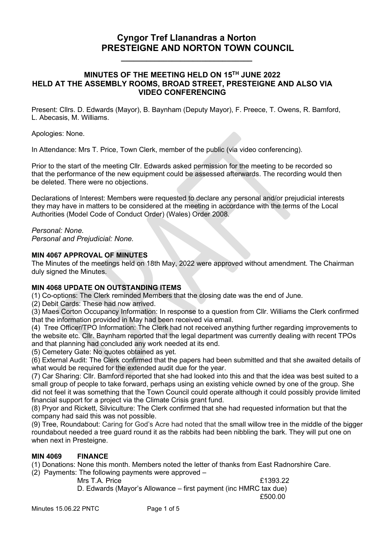# **Cyngor Tref Llanandras a Norton PRESTEIGNE AND NORTON TOWN COUNCIL**

#### **MINUTES OF THE MEETING HELD ON 15 TH JUNE 2022 HELD AT THE ASSEMBLY ROOMS, BROAD STREET, PRESTEIGNE AND ALSO VIA VIDEO CONFERENCING**

**\_\_\_\_\_\_\_\_\_\_\_\_\_\_\_\_\_\_\_\_\_\_\_\_\_\_\_\_\_\_\_**

 Present: Cllrs. D. Edwards (Mayor), B. Baynham (Deputy Mayor), F. Preece, T. Owens, R. Bamford, L. Abecasis, M. Williams.

Apologies: None.

In Attendance: Mrs T. Price, Town Clerk, member of the public (via video conferencing).

Prior to the start of the meeting Cllr. Edwards asked permission for the meeting to be recorded so that the performance of the new equipment could be assessed afterwards. The recording would then be deleted. There were no objections.

Declarations of Interest: Members were requested to declare any personal and/or prejudicial interests they may have in matters to be considered at the meeting in accordance with the terms of the Local Authorities (Model Code of Conduct Order) (Wales) Order 2008.

#### *Personal: None.*

*Personal and Prejudicial: None.*

#### **MIN 4067 APPROVAL OF MINUTES**

The Minutes of the meetings held on 18th May, 2022 were approved without amendment. The Chairman duly signed the Minutes.

#### **MIN 4068 UPDATE ON OUTSTANDING ITEMS**

(1) Co-options: The Clerk reminded Members that the closing date was the end of June.

(2) Debit Cards: These had now arrived.

(3) Maes Corton Occupancy Information: In response to a question from Cllr. Williams the Clerk confirmed that the information provided in May had been received via email.

(4) Tree Officer/TPO Information: The Clerk had not received anything further regarding improvements to the website etc. Cllr. Baynham reported that the legal department was currently dealing with recent TPOs and that planning had concluded any work needed at its end.

(5) Cemetery Gate: No quotes obtained as yet.

(6) External Audit: The Clerk confirmed that the papers had been submitted and that she awaited details of what would be required for the extended audit due for the year.

(7) Car Sharing: Cllr. Bamford reported that she had looked into this and that the idea was best suited to a small group of people to take forward, perhaps using an existing vehicle owned by one of the group. She did not feel it was something that the Town Council could operate although it could possibly provide limited financial support for a project via the Climate Crisis grant fund.

(8) Pryor and Rickett, Silviculture: The Clerk confirmed that she had requested information but that the company had said this was not possible.

(9) Tree, Roundabout: Caring for God's Acre had noted that the small willow tree in the middle of the bigger roundabout needed a tree guard round it as the rabbits had been nibbling the bark. They will put one on when next in Presteigne.

#### **MIN 4069 FINANCE**

(1) Donations: None this month. Members noted the letter of thanks from East Radnorshire Care.

(2) Payments: The following payments were approved –

Mrs T.A. Price **E1393.22** D. Edwards (Mayor's Allowance – first payment (inc HMRC tax due) £500.00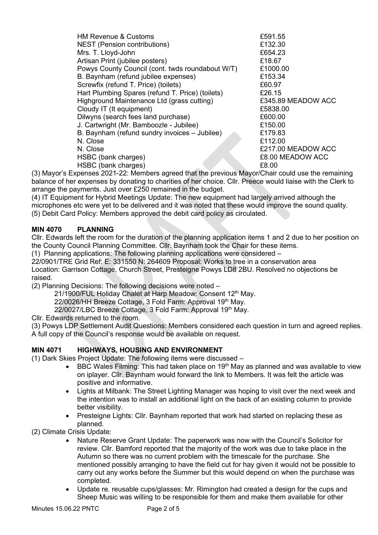| <b>HM Revenue &amp; Customs</b>                  | £591.55            |
|--------------------------------------------------|--------------------|
| NEST (Pension contributions)                     | £132.30            |
| Mrs. T. Lloyd-John                               | £654.23            |
| Artisan Print (jubilee posters)                  | £18.67             |
| Powys County Council (cont. twds roundabout W/T) | £1000.00           |
| B. Baynham (refund jubilee expenses)             | £153.34            |
| Screwfix (refund T. Price) (toilets)             | £60.97             |
| Hart Plumbing Spares (refund T. Price) (toilets) | £26.15             |
| Highground Maintenance Ltd (grass cutting)       | £345.89 MEADOW ACC |
| Cloudy IT (It equipment)                         | £5838.00           |
| Dilwyns (search fees land purchase)              | £600.00            |
| J. Cartwright (Mr. Bamboozle - Jubilee)          | £150.00            |
| B. Baynham (refund sundry invoices - Jubilee)    | £179.83            |
| N. Close                                         | £112.00            |
| N. Close                                         | £217.00 MEADOW ACC |
| HSBC (bank charges)                              | £8.00 MEADOW ACC   |
| HSBC (bank charges)                              | £8.00              |

(3) Mayor's Expenses 2021-22: Members agreed that the previous Mayor/Chair could use the remaining balance of her expenses by donating to charities of her choice. Cllr. Preece would liaise with the Clerk to arrange the payments. Just over £250 remained in the budget.

(4) IT Equipment for Hybrid Meetings Update: The new equipment had largely arrived although the microphones etc were yet to be delivered and it was noted that these would improve the sound quality. (5) Debit Card Policy: Members approved the debit card policy as circulated.

### **MIN 4070 PLANNING**

Cllr. Edwards left the room for the duration of the planning application items 1 and 2 due to her position on the County Council Planning Committee. Cllr. Baynham took the Chair for these items.

(1) Planning applications: The following planning applications were considered –

22/0901/TRE Grid Ref: E: 331550 N: 264609 Proposal: Works to tree in a conservation area Location: Garrison Cottage, Church Street, Presteigne Powys LD8 2BU. Resolved no objections be raised.

(2) Planning Decisions: The following decisions were noted –

21/1900/FUL Holiday Chalet at Harp Meadow: Consent 12<sup>th</sup> May.

22/0026/HH Breeze Cottage, 3 Fold Farm: Approval 19th May.

22/0027/LBC Breeze Cottage, 3 Fold Farm: Approval 19th May.

Cllr. Edwards returned to the room.

(3) Powys LDP Settlement Audit Questions: Members considered each question in turn and agreed replies. A full copy of the Council's response would be available on request.

### **MIN 4071 HIGHWAYS, HOUSING AND ENVIRONMENT**

(1) Dark Skies Project Update: The following items were discussed –

- BBC Wales Filming: This had taken place on 19<sup>th</sup> May as planned and was available to view on iplayer. Cllr. Baynham would forward the link to Members. It was felt the article was positive and informative.
- Lights at Milbank: The Street Lighting Manager was hoping to visit over the next week and the intention was to install an additional light on the back of an existing column to provide better visibility.
- Presteigne Lights: Cllr. Baynham reported that work had started on replacing these as planned.

(2) Climate Crisis Update:

- Nature Reserve Grant Update: The paperwork was now with the Council's Solicitor for review. Cllr. Bamford reported that the majority of the work was due to take place in the Autumn so there was no current problem with the timescale for the purchase. She mentioned possibly arranging to have the field cut for hay given it would not be possible to carry out any works before the Summer but this would depend on when the purchase was completed.
- Update re. reusable cups/glasses: Mr. Rimington had created a design for the cups and Sheep Music was willing to be responsible for them and make them available for other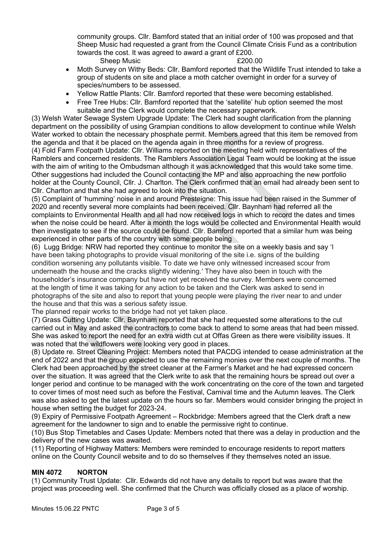community groups. Cllr. Bamford stated that an initial order of 100 was proposed and that Sheep Music had requested a grant from the Council Climate Crisis Fund as a contribution towards the cost. It was agreed to award a grant of £200. Sheep Music **E200.00** 

- 
- Moth Survey on Withy Beds: Cllr. Bamford reported that the Wildlife Trust intended to take a group of students on site and place a moth catcher overnight in order for a survey of species/numbers to be assessed.
- Yellow Rattle Plants: Cllr. Bamford reported that these were becoming established.
- Free Tree Hubs: Cllr. Bamford reported that the 'satellite' hub option seemed the most suitable and the Clerk would complete the necessary paperwork.

(3) Welsh Water Sewage System Upgrade Update: The Clerk had sought clarification from the planning department on the possibility of using Grampian conditions to allow development to continue while Welsh Water worked to obtain the necessary phosphate permit. Members agreed that this item be removed from the agenda and that it be placed on the agenda again in three months for a review of progress. (4) Fold Farm Footpath Update: Cllr. Williams reported on the meeting held with representatives of the Ramblers and concerned residents. The Ramblers Association Legal Team would be looking at the issue with the aim of writing to the Ombudsman although it was acknowledged that this would take some time. Other suggestions had included the Council contacting the MP and also approaching the new portfolio holder at the County Council, Cllr. J. Charlton. The Clerk confirmed that an email had already been sent to

Cllr. Charlton and that she had agreed to look into the situation. (5) Complaint of 'humming' noise in and around Presteigne: This issue had been raised in the Summer of 2020 and recently several more complaints had been received. Cllr. Baynham had referred all the complaints to Environmental Health and all had now received logs in which to record the dates and times when the noise could be heard. After a month the logs would be collected and Environmental Health would then investigate to see if the source could be found. Cllr. Bamford reported that a similar hum was being experienced in other parts of the country with some people being

(6) Lugg Bridge: NRW had reported they continue to monitor the site on a weekly basis and say 'I have been taking photographs to provide visual monitoring of the site i.e. signs of the building condition worsening any pollutants visible. To date we have only witnessed increased scour from underneath the house and the cracks slightly widening.' They have also been in touch with the householder's insurance company but have not yet received the survey. Members were concerned at the length of time it was taking for any action to be taken and the Clerk was asked to send in photographs of the site and also to report that young people were playing the river near to and under the house and that this was a serious safety issue.

The planned repair works to the bridge had not yet taken place.

(7) Grass Cutting Update: Cllr. Baynham reported that she had requested some alterations to the cut carried out in May and asked the contractors to come back to attend to some areas that had been missed. She was asked to report the need for an extra width cut at Offas Green as there were visibility issues. It was noted that the wildflowers were looking very good in places.

(8) Update re. Street Cleaning Project: Members noted that PACDG intended to cease administration at the end of 2022 and that the group expected to use the remaining monies over the next couple of months. The Clerk had been approached by the street cleaner at the Farmer's Market and he had expressed concern over the situation. It was agreed that the Clerk write to ask that the remaining hours be spread out over a longer period and continue to be managed with the work concentrating on the core of the town and targeted to cover times of most need such as before the Festival, Carnival time and the Autumn leaves. The Clerk was also asked to get the latest update on the hours so far. Members would consider bringing the project in house when setting the budget for 2023-24.

(9) Expiry of Permissive Footpath Agreement – Rockbridge: Members agreed that the Clerk draft a new agreement for the landowner to sign and to enable the permissive right to continue.

(10) Bus Stop Timetables and Cases Update: Members noted that there was a delay in production and the delivery of the new cases was awaited.

(11) Reporting of Highway Matters: Members were reminded to encourage residents to report matters online on the County Council website and to do so themselves if they themselves noted an issue.

### **MIN 4072 NORTON**

(1) Community Trust Update: Cllr. Edwards did not have any details to report but was aware that the project was proceeding well. She confirmed that the Church was officially closed as a place of worship.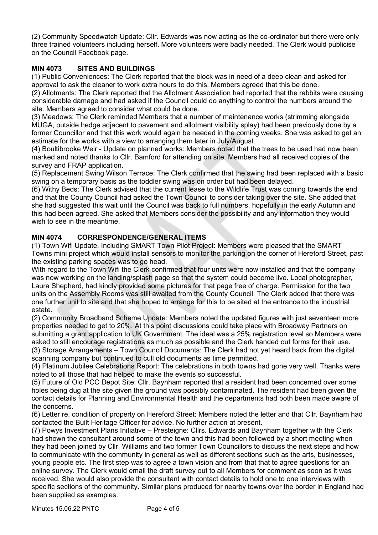(2) Community Speedwatch Update: Cllr. Edwards was now acting as the co-ordinator but there were only three trained volunteers including herself. More volunteers were badly needed. The Clerk would publicise on the Council Facebook page.

## **MIN 4073 SITES AND BUILDINGS**

(1) Public Conveniences: The Clerk reported that the block was in need of a deep clean and asked for approval to ask the cleaner to work extra hours to do this. Members agreed that this be done.

(2) Allotments: The Clerk reported that the Allotment Association had reported that the rabbits were causing considerable damage and had asked if the Council could do anything to control the numbers around the site. Members agreed to consider what could be done.

(3) Meadows: The Clerk reminded Members that a number of maintenance works (strimming alongside MUGA, outside hedge adjacent to pavement and allotment visibility splay) had been previously done by a former Councillor and that this work would again be needed in the coming weeks. She was asked to get an estimate for the works with a view to arranging them later in July/August.

(4) Boultibrooke Weir - Update on planned works: Members noted that the trees to be used had now been marked and noted thanks to Cllr. Bamford for attending on site. Members had all received copies of the survey and FRAP application.

(5) Replacement Swing Wilson Terrace: The Clerk confirmed that the swing had been replaced with a basic swing on a temporary basis as the toddler swing was on order but had been delayed.

(6) Withy Beds: The Clerk advised that the current lease to the Wildlife Trust was coming towards the end and that the County Council had asked the Town Council to consider taking over the site. She added that she had suggested this wait until the Council was back to full numbers, hopefully in the early Autumn and this had been agreed. She asked that Members consider the possibility and any information they would wish to see in the meantime.

### **MIN 4074 CORRESPONDENCE/GENERAL ITEMS**

(1) Town Wifi Update. Including SMART Town Pilot Project: Members were pleased that the SMART Towns mini project which would install sensors to monitor the parking on the corner of Hereford Street, past the existing parking spaces was to go head.

With regard to the Town Wifi the Clerk confirmed that four units were now installed and that the company was now working on the landing/splash page so that the system could become live. Local photographer, Laura Shepherd, had kindly provided some pictures for that page free of charge. Permission for the two units on the Assembly Rooms was still awaited from the County Council. The Clerk added that there was one further unit to site and that she hoped to arrange for this to be sited at the entrance to the industrial estate.

(2) Community Broadband Scheme Update: Members noted the updated figures with just seventeen more properties needed to get to 20%. At this point discussions could take place with Broadway Partners on submitting a grant application to UK Government. The ideal was a 25% registration level so Members were asked to still encourage registrations as much as possible and the Clerk handed out forms for their use. (3) Storage Arrangements – Town Council Documents: The Clerk had not yet heard back from the digital scanning company but continued to cull old documents as time permitted.

(4) Platinum Jubilee Celebrations Report: The celebrations in both towns had gone very well. Thanks were noted to all those that had helped to make the events so successful.

(5) Future of Old PCC Depot Site: Cllr. Baynham reported that a resident had been concerned over some holes being dug at the site given the ground was possibly contaminated. The resident had been given the contact details for Planning and Environmental Health and the departments had both been made aware of the concerns.

(6) Letter re. condition of property on Hereford Street: Members noted the letter and that Cllr. Baynham had contacted the Built Heritage Officer for advice. No further action at present.

(7) Powys Investment Plans Initiative – Presteigne: Cllrs. Edwards and Baynham together with the Clerk had shown the consultant around some of the town and this had been followed by a short meeting when they had been joined by Cllr. Williams and two former Town Councillors to discuss the next steps and how to communicate with the community in general as well as different sections such as the arts, businesses, young people etc. The first step was to agree a town vision and from that that to agree questions for an online survey. The Clerk would email the draft survey out to all Members for comment as soon as it was received. She would also provide the consultant with contact details to hold one to one interviews with specific sections of the community. Similar plans produced for nearby towns over the border in England had been supplied as examples.